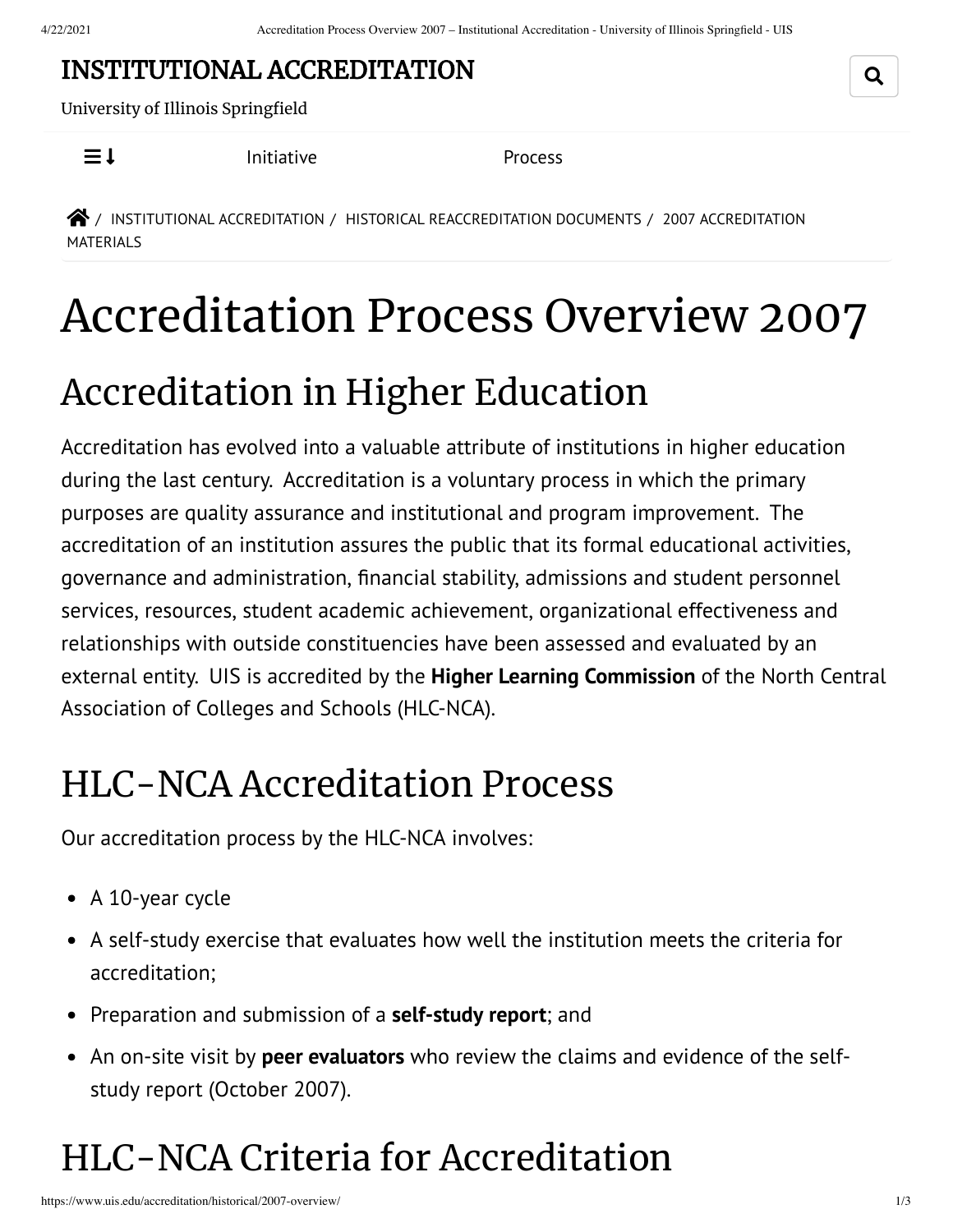### INSTITUTIONAL [ACCREDITATION](https://www.uis.edu/accreditation/)

University of Illinois Springfield

 $\equiv$  1 [Initiative](https://www.uis.edu/accreditation/quality/) [Process](https://www.uis.edu/accreditation/about/)

 $\bigotimes$  / INSTITUTIONAL [ACCREDITATION](https://www.uis.edu/accreditation/) / HISTORICAL [REACCREDITATION](https://www.uis.edu/accreditation/historical/) DOCUMENTS / 2007 ACCREDITATION MATERIALS

# Accreditation Process Overview 2007

## Accreditation in Higher Education

Accreditation has evolved into a valuable attribute of institutions in higher education during the last century. Accreditation is a voluntary process in which the primary purposes are quality assurance and institutional and program improvement. The accreditation of an institution assures the public that its formal educational activities, governance and administration, financial stability, admissions and student personnel services, resources, student academic achievement, organizational effectiveness and relationships with outside constituencies have been assessed and evaluated by an external entity. UIS is accredited by the **Higher Learning [Commission](http://www.ncahlc.org/)** of the North Central Association of Colleges and Schools (HLC-NCA).

### HLC-NCA Accreditation Process

Our accreditation process by the HLC-NCA involves:

- A 10-year cycle
- A self-study exercise that evaluates how well the institution meets the criteria for accreditation;
- Preparation and submission of a **[self-study](https://www.uis.edu/accreditation/historical/2007-self-study/) report**; and
- An on-site visit by **peer [evaluators](https://www.uis.edu/accreditation/historical/2007-site-team/)** who review the claims and evidence of the selfstudy report (October 2007).

## HLC-NCA Criteria for Accreditation

Q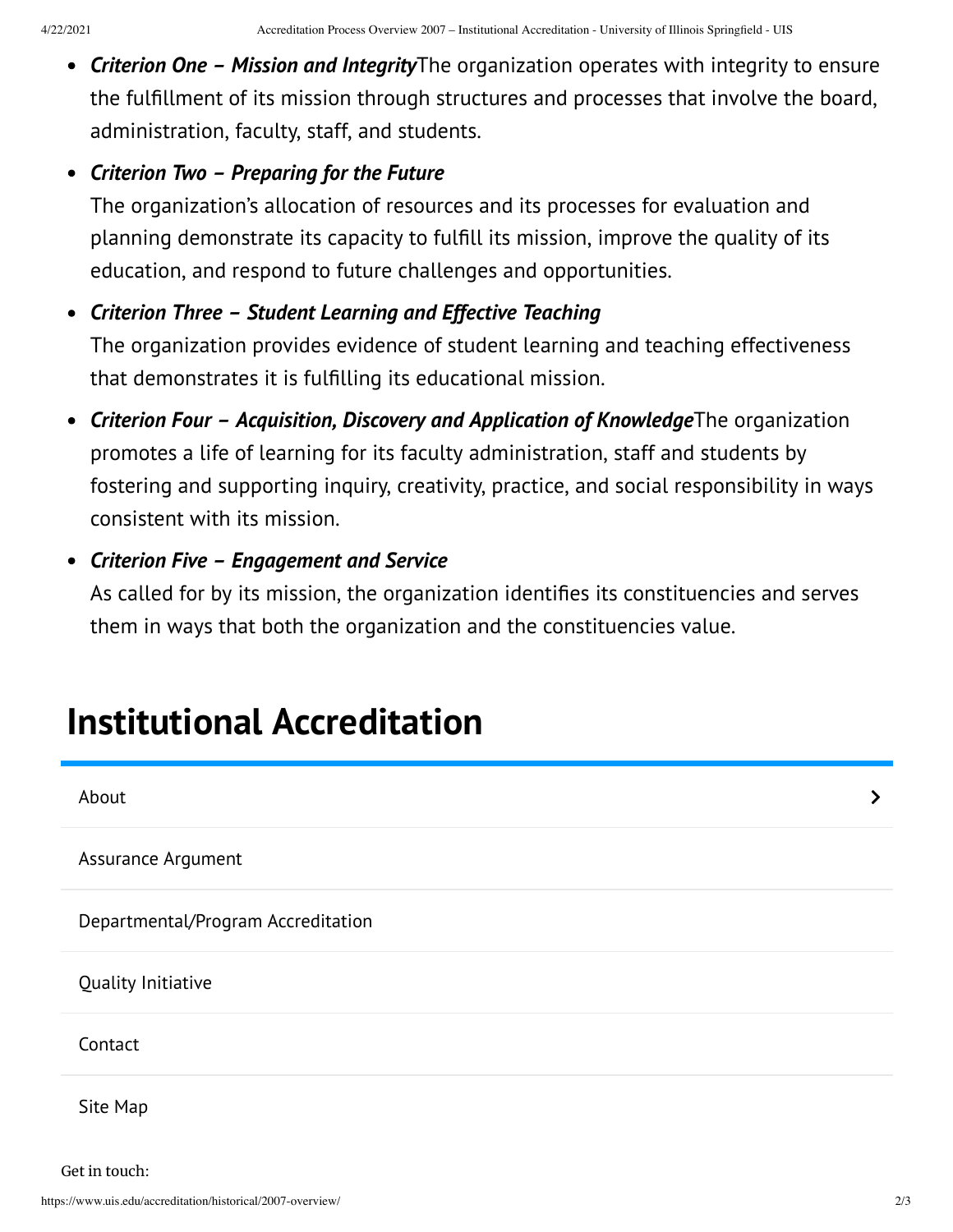*[Criterion](https://www.uis.edu/accreditation/assurance/year-2007/mission/) One – Mission and Integrity*The organization operates with integrity to ensure the fulfillment of its mission through structures and processes that involve the board, administration, faculty, staff, and students.

#### *Criterion Two – [Preparing](https://www.uis.edu/accreditation/assurance/year-2007/future/) for the Future*

The organization's allocation of resources and its processes for evaluation and planning demonstrate its capacity to fulfill its mission, improve the quality of its education, and respond to future challenges and opportunities.

#### *Criterion Three – Student Learning and Effective [Teaching](https://www.uis.edu/accreditation/assurance/year-2007/learning/)* The organization provides evidence of student learning and teaching effectiveness that demonstrates it is fulfilling its educational mission.

- *Criterion Four – [Acquisition,](https://www.uis.edu/accreditation/assurance/year-2007/knowledge/) Discovery and Application of Knowledge*The organization promotes a life of learning for its faculty administration, staff and students by fostering and supporting inquiry, creativity, practice, and social responsibility in ways consistent with its mission.
- *Criterion Five – [Engagement](https://www.uis.edu/accreditation/assurance/year-2007/service/) and Service*

As called for by its mission, the organization identifies its constituencies and serves them in ways that both the organization and the constituencies value.

### <span id="page-1-0"></span>**Institutional [Accreditation](https://www.uis.edu/accreditation/)**

| About                              | ゝ |
|------------------------------------|---|
| Assurance Argument                 |   |
| Departmental/Program Accreditation |   |
| Quality Initiative                 |   |
| Contact                            |   |
| Site Map                           |   |

Get in touch: